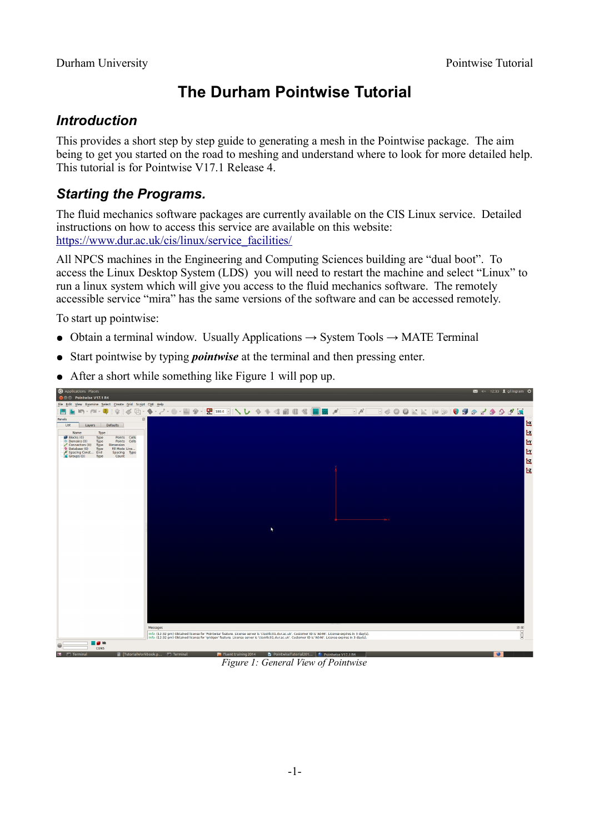# **The Durham Pointwise Tutorial**

## *Introduction*

This provides a short step by step guide to generating a mesh in the Pointwise package. The aim being to get you started on the road to meshing and understand where to look for more detailed help. This tutorial is for Pointwise V17.1 Release 4.

# *Starting the Programs.*

The fluid mechanics software packages are currently available on the CIS Linux service. Detailed instructions on how to access this service are available on this website: [https://www.dur.ac.uk/cis/linux/service\\_facilities/](https://www.dur.ac.uk/cis/linux/service_facilities/)

All NPCS machines in the Engineering and Computing Sciences building are "dual boot". To access the Linux Desktop System (LDS) you will need to restart the machine and select "Linux" to run a linux system which will give you access to the fluid mechanics software. The remotely accessible service "mira" has the same versions of the software and can be accessed remotely.

To start up pointwise:

- Obtain a terminal window. Usually Applications  $\rightarrow$  System Tools  $\rightarrow$  MATE Terminal
- Start pointwise by typing *pointwise* at the terminal and then pressing enter.
- After a short while something like [Figure 1](#page-0-0) will pop up.

| Applications Places                                                                  |                                                                                                                                                                                                                                                                                                                      | 図 (× 12:33 Liglingram ⇒ |
|--------------------------------------------------------------------------------------|----------------------------------------------------------------------------------------------------------------------------------------------------------------------------------------------------------------------------------------------------------------------------------------------------------------------|-------------------------|
| <b>O</b> Pointwise V17.1 R4                                                          |                                                                                                                                                                                                                                                                                                                      |                         |
| File Edit View Examine Select Create Grid Script CAE Help                            |                                                                                                                                                                                                                                                                                                                      |                         |
|                                                                                      |                                                                                                                                                                                                                                                                                                                      |                         |
| Panels                                                                               | $\circledcirc$                                                                                                                                                                                                                                                                                                       |                         |
| List<br>Defaults<br>Layers                                                           |                                                                                                                                                                                                                                                                                                                      | L.                      |
| Name<br>Type                                                                         |                                                                                                                                                                                                                                                                                                                      |                         |
| Blocks(0)<br>Points Cells<br>Type<br>Points Cells<br>$\triangle$ Domains (0)<br>Type |                                                                                                                                                                                                                                                                                                                      |                         |
| Connectors $(0)$<br>Type<br>Dimension<br>Database (0)<br>Fill Mode Line<br>Type      |                                                                                                                                                                                                                                                                                                                      |                         |
| Spacing Const End<br>Coroups (0) Type<br>Spacing Type<br>Count                       |                                                                                                                                                                                                                                                                                                                      |                         |
|                                                                                      |                                                                                                                                                                                                                                                                                                                      |                         |
|                                                                                      |                                                                                                                                                                                                                                                                                                                      | EEEEE                   |
|                                                                                      |                                                                                                                                                                                                                                                                                                                      |                         |
|                                                                                      |                                                                                                                                                                                                                                                                                                                      |                         |
|                                                                                      |                                                                                                                                                                                                                                                                                                                      |                         |
|                                                                                      |                                                                                                                                                                                                                                                                                                                      |                         |
|                                                                                      |                                                                                                                                                                                                                                                                                                                      |                         |
|                                                                                      |                                                                                                                                                                                                                                                                                                                      |                         |
|                                                                                      |                                                                                                                                                                                                                                                                                                                      |                         |
|                                                                                      |                                                                                                                                                                                                                                                                                                                      |                         |
|                                                                                      |                                                                                                                                                                                                                                                                                                                      |                         |
|                                                                                      |                                                                                                                                                                                                                                                                                                                      |                         |
|                                                                                      |                                                                                                                                                                                                                                                                                                                      |                         |
|                                                                                      |                                                                                                                                                                                                                                                                                                                      |                         |
|                                                                                      |                                                                                                                                                                                                                                                                                                                      |                         |
|                                                                                      |                                                                                                                                                                                                                                                                                                                      |                         |
|                                                                                      |                                                                                                                                                                                                                                                                                                                      |                         |
|                                                                                      |                                                                                                                                                                                                                                                                                                                      |                         |
|                                                                                      |                                                                                                                                                                                                                                                                                                                      |                         |
|                                                                                      |                                                                                                                                                                                                                                                                                                                      |                         |
|                                                                                      |                                                                                                                                                                                                                                                                                                                      |                         |
|                                                                                      |                                                                                                                                                                                                                                                                                                                      |                         |
|                                                                                      |                                                                                                                                                                                                                                                                                                                      |                         |
|                                                                                      |                                                                                                                                                                                                                                                                                                                      |                         |
|                                                                                      | Messages                                                                                                                                                                                                                                                                                                             | $\circledcirc$          |
|                                                                                      | Info: (12:32 pm) Obtained license for 'Pointwise' feature. License server is 'cisvirlic01.dur.ac.uk'. Customer ID is 'A046'. License expires in 3 day(s).<br>Info: (12:32 pm) Obtained license for 'gridgen' feature. License server is 'cisvirlic01.dur.ac.uk'. Customer ID is 'A046'. License expires in 3 day(s). | $\boxed{\frac{1}{2}}$   |
| Ⅲ■ 30                                                                                |                                                                                                                                                                                                                                                                                                                      |                         |
| CGNS                                                                                 |                                                                                                                                                                                                                                                                                                                      |                         |
|                                                                                      |                                                                                                                                                                                                                                                                                                                      |                         |

<span id="page-0-0"></span>*Figure 1: General View of Pointwise*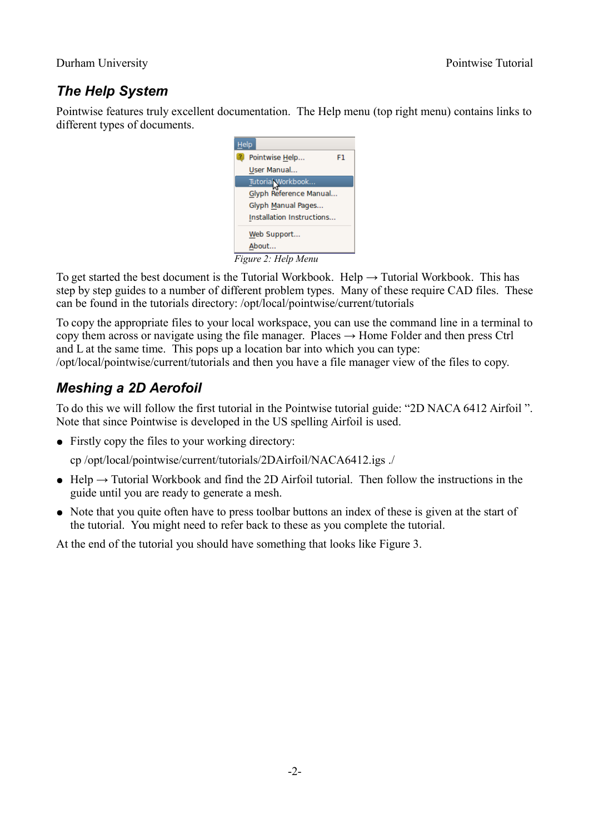### Durham University Pointwise Tutorial

# *The Help System*

Pointwise features truly excellent documentation. The Help menu (top right menu) contains links to different types of documents.



To get started the best document is the Tutorial Workbook. Help  $\rightarrow$  Tutorial Workbook. This has step by step guides to a number of different problem types. Many of these require CAD files. These can be found in the tutorials directory: /opt/local/pointwise/current/tutorials

To copy the appropriate files to your local workspace, you can use the command line in a terminal to copy them across or navigate using the file manager. Places  $\rightarrow$  Home Folder and then press Ctrl and L at the same time. This pops up a location bar into which you can type:

/opt/local/pointwise/current/tutorials and then you have a file manager view of the files to copy.

## *Meshing a 2D Aerofoil*

To do this we will follow the first tutorial in the Pointwise tutorial guide: "2D NACA 6412 Airfoil ". Note that since Pointwise is developed in the US spelling Airfoil is used.

• Firstly copy the files to your working directory:

cp /opt/local/pointwise/current/tutorials/2DAirfoil/NACA6412.igs ./

- Help  $\rightarrow$  Tutorial Workbook and find the 2D Airfoil tutorial. Then follow the instructions in the guide until you are ready to generate a mesh.
- Note that you quite often have to press toolbar buttons an index of these is given at the start of the tutorial. You might need to refer back to these as you complete the tutorial.

At the end of the tutorial you should have something that looks like [Figure 3.](#page-2-0)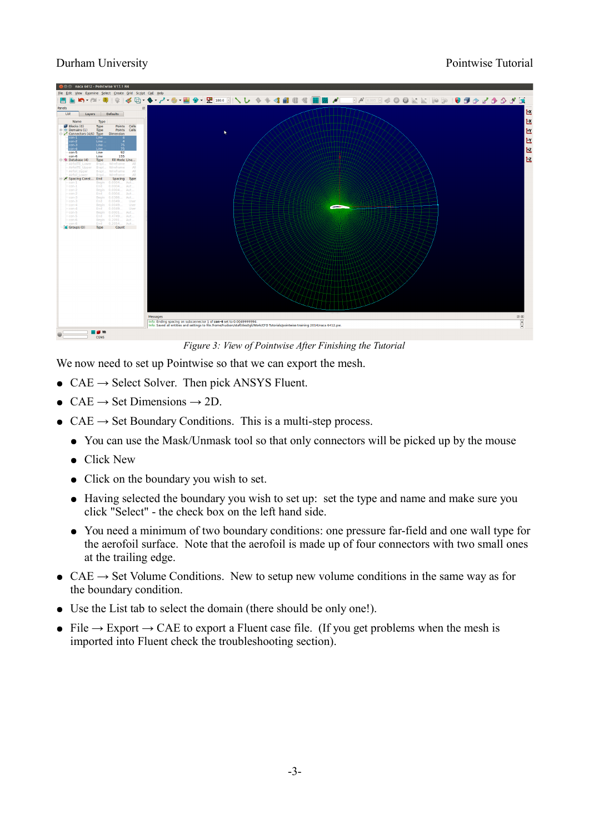### Durham University Pointwise Tutorial



*Figure 3: View of Pointwise After Finishing the Tutorial*

<span id="page-2-0"></span>We now need to set up Pointwise so that we can export the mesh.

- $CAE \rightarrow$  Select Solver. Then pick ANSYS Fluent.
- $CAE \rightarrow Set$  Dimensions  $\rightarrow$  2D.
- $CAE \rightarrow Set Boundary Conditions$ . This is a multi-step process.
	- You can use the Mask/Unmask tool so that only connectors will be picked up by the mouse
	- Click New
	- Click on the boundary you wish to set.
	- Having selected the boundary you wish to set up: set the type and name and make sure you click "Select" - the check box on the left hand side.
	- You need a minimum of two boundary conditions: one pressure far-field and one wall type for the aerofoil surface. Note that the aerofoil is made up of four connectors with two small ones at the trailing edge.
- CAE  $\rightarrow$  Set Volume Conditions. New to setup new volume conditions in the same way as for the boundary condition.
- Use the List tab to select the domain (there should be only one!).
- File  $\rightarrow$  Export  $\rightarrow$  CAE to export a Fluent case file. (If you get problems when the mesh is imported into Fluent check the troubleshooting section).